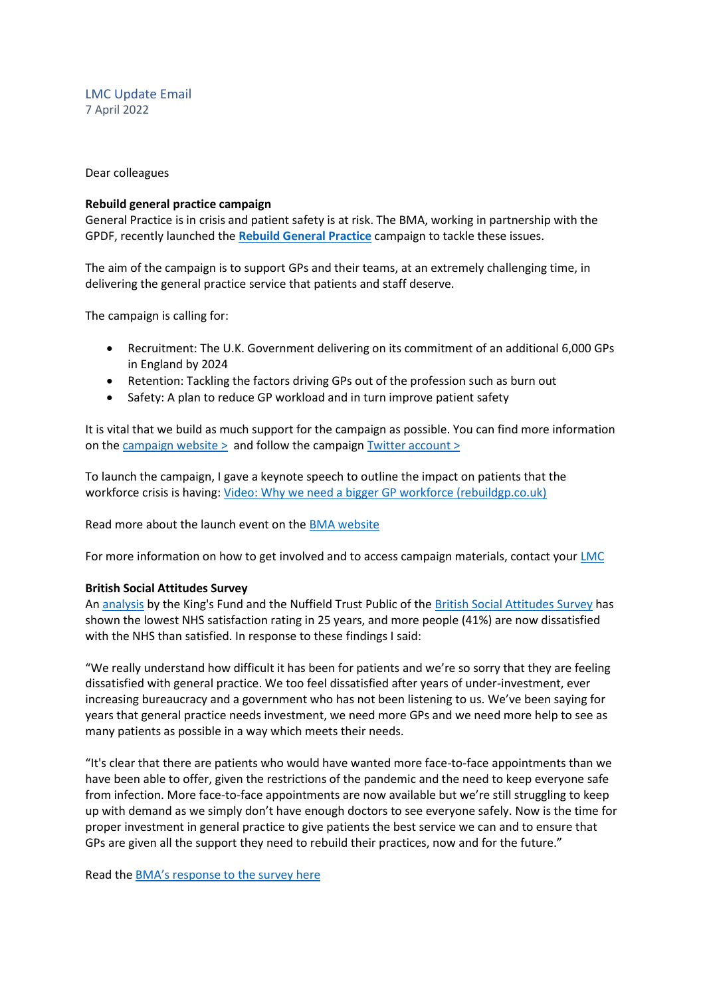LMC Update Email 7 April 2022

Dear colleagues

#### **Rebuild general practice campaign**

General Practice is in crisis and patient safety is at risk. The BMA, working in partnership with the GPDF, recently launched the **[Rebuild General Practice](https://bma-mail.org.uk/t/JVX-7SE2J-JCJOU4-4QTDV1-1/c.aspx)** campaign to tackle these issues.

The aim of the campaign is to support GPs and their teams, at an extremely challenging time, in delivering the general practice service that patients and staff deserve.

The campaign is calling for:

- Recruitment: The U.K. Government delivering on its commitment of an additional 6,000 GPs in England by 2024
- Retention: Tackling the factors driving GPs out of the profession such as burn out
- Safety: A plan to reduce GP workload and in turn improve patient safety

It is vital that we build as much support for the campaign as possible. You can find more information on th[e campaign website >](https://rebuildgp.co.uk/) and follow the campaign [Twitter account >](https://twitter.com/rebuildgp)

To launch the campaign, I gave a keynote speech to outline the impact on patients that the workforce crisis is having: [Video: Why we need a bigger GP workforce \(rebuildgp.co.uk\)](http://www.rebuildgp.co.uk/campaign-assets/video-why-we-need-a-bigger-gp-workforce)

Read more about the launch event on the [BMA website](https://www.bma.org.uk/news-and-opinion/gp-campaign-time-to-rebuild-general-practice)

For more information on how to get involved and to access campaign materials, contact your [LMC](https://www.bma.org.uk/what-we-do/local-medical-committees)

#### **British Social Attitudes Survey**

A[n analysis](https://www.nuffieldtrust.org.uk/research/public-satisfaction-with-the-nhs-and-social-care-in-2021-results-from-the-british-social-attitudes-survey?gclid=EAIaIQobChMIzJeEiY_69gIVFpftCh38_gSMEAAYASAAEgIaivD_BwE) by the King's Fund and the Nuffield Trust Public of the British [Social Attitudes Survey](https://bsa.natcen.ac.uk/latest-report/british-social-attitudes-38/introduction.aspx) has shown the lowest NHS satisfaction rating in 25 years, and more people (41%) are now dissatisfied with the NHS than satisfied. In response to these findings I said:

"We really understand how difficult it has been for patients and we're so sorry that they are feeling dissatisfied with general practice. We too feel dissatisfied after years of under-investment, ever increasing bureaucracy and a government who has not been listening to us. We've been saying for years that general practice needs investment, we need more GPs and we need more help to see as many patients as possible in a way which meets their needs.

"It's clear that there are patients who would have wanted more face-to-face appointments than we have been able to offer, given the restrictions of the pandemic and the need to keep everyone safe from infection. More face-to-face appointments are now available but we're still struggling to keep up with demand as we simply don't have enough doctors to see everyone safely. Now is the time for proper investment in general practice to give patients the best service we can and to ensure that GPs are given all the support they need to rebuild their practices, now and for the future."

Read the [BMA's response to the survey here](https://protect-eu.mimecast.com/s/T1rmCp211tnLlEniDSIj0?domain=bma.org.uk)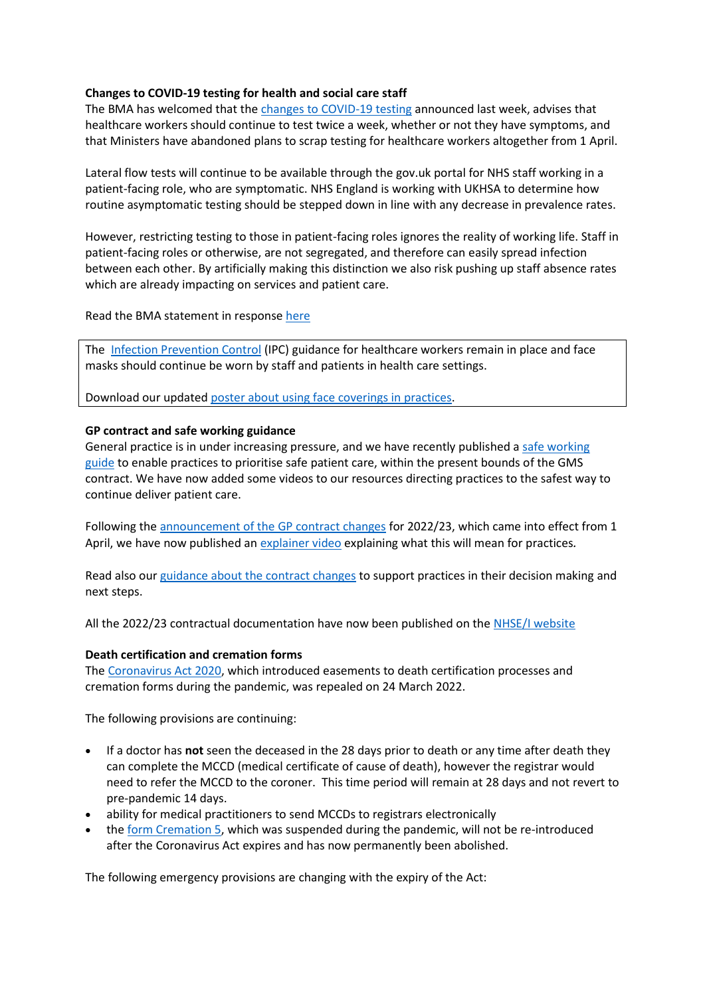# **Changes to COVID-19 testing for health and social care staff**

The BMA has welcomed that the [changes to COVID-19 testing](https://www.england.nhs.uk/coronavirus/publication/living-with-covid-19-testing-update/) announced last week, advises that healthcare workers should continue to test twice a week, whether or not they have symptoms, and that Ministers have abandoned plans to scrap testing for healthcare workers altogether from 1 April.

Lateral flow tests will continue to be available through the gov.uk portal for NHS staff working in a patient-facing role, who are symptomatic. NHS England is working with UKHSA to determine how routine asymptomatic testing should be stepped down in line with any decrease in prevalence rates.

However, restricting testing to those in patient-facing roles ignores the reality of working life. Staff in patient-facing roles or otherwise, are not segregated, and therefore can easily spread infection between each other. By artificially making this distinction we also risk pushing up staff absence rates which are already impacting on services and patient care.

Read the BMA statement in response [here](https://www.bma.org.uk/bma-media-centre/bma-responds-to-government-s-changes-to-covid-19-testing-for-health-and-social-care-staff)

The [Infection Prevention Control](https://www.gov.uk/government/publications/wuhan-novel-coronavirus-infection-prevention-and-control) (IPC) guidance for healthcare workers remain in place and face masks should continue be worn by staff and patients in health care settings.

Download our updated [poster about using face coverings in practices.](https://www.bma.org.uk/media/5321/bma-visiting-your-gp-poster-mar2022.pdf)

# **GP contract and safe working guidance**

General practice is in under increasing pressure, and we have recently published a [safe working](https://www.bma.org.uk/advice-and-support/gp-practices/managing-workload/safe-working-in-general-practice)  [guide](https://www.bma.org.uk/advice-and-support/gp-practices/managing-workload/safe-working-in-general-practice) to enable practices to prioritise safe patient care, within the present bounds of the GMS contract. We have now added some videos to our resources directing practices to the safest way to continue deliver patient care.

Following the [announcement of the GP contract changes](https://www.england.nhs.uk/publication/letter-general-practice-contract-arrangements-in-2022-23/) for 2022/23, which came into effect from 1 April, we have now published a[n explainer video](https://www.bma.org.uk/pay-and-contracts/contracts/gp-contract/gp-contract-changes-england-202223) explaining what this will mean for practices*.*

Read also our [guidance about the contract changes](https://www.bma.org.uk/pay-and-contracts/contracts/gp-contract/gp-contract-changes-england-202223) to support practices in their decision making and next steps.

All the 2022/23 contractual documentation have now been published on the [NHSE/I website](https://www.england.nhs.uk/gp/investment/gp-contract/)

## **Death certification and cremation forms**

The [Coronavirus Act 2020,](https://services.parliament.uk/Bills/2019-21/coronavirus/documents.html) which introduced easements to death certification processes and cremation forms during the pandemic, was repealed on 24 March 2022.

The following provisions are continuing:

- If a doctor has **not** seen the deceased in the 28 days prior to death or any time after death they can complete the MCCD (medical certificate of cause of death), however the registrar would need to refer the MCCD to the coroner. This time period will remain at 28 days and not revert to pre-pandemic 14 days.
- ability for medical practitioners to send MCCDs to registrars electronically
- th[e form Cremation 5,](https://www.gov.uk/government/collections/cremation-forms-and-guidance) which was suspended during the pandemic, will not be re-introduced after the Coronavirus Act expires and has now permanently been abolished.

The following emergency provisions are changing with the expiry of the Act: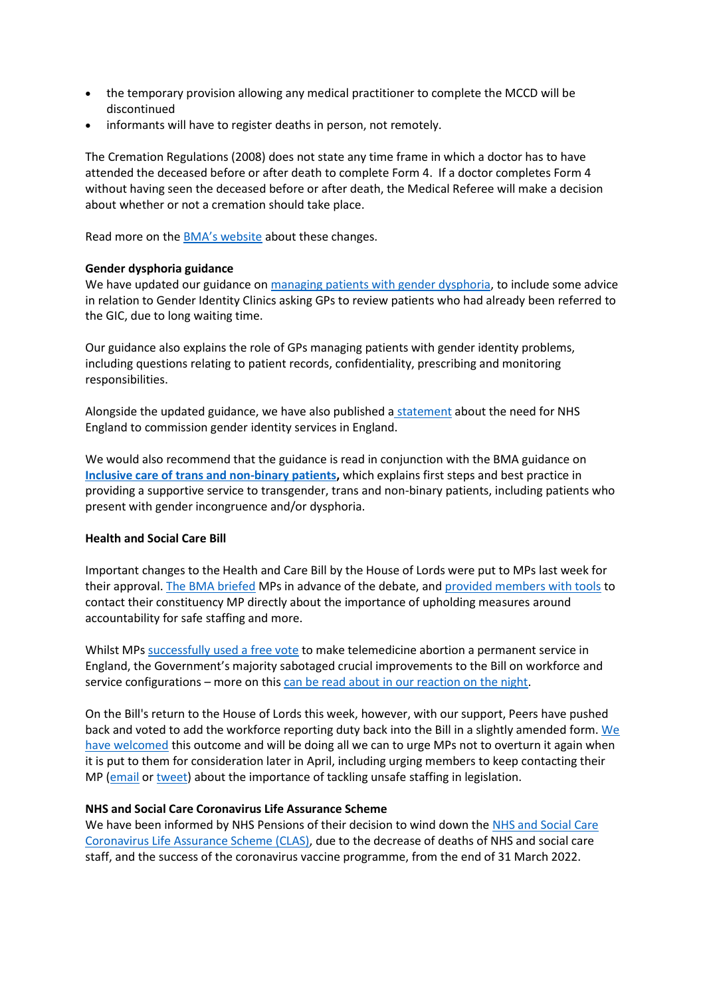- the temporary provision allowing any medical practitioner to complete the MCCD will be discontinued
- informants will have to register deaths in person, not remotely.

The Cremation Regulations (2008) does not state any time frame in which a doctor has to have attended the deceased before or after death to complete Form 4. If a doctor completes Form 4 without having seen the deceased before or after death, the Medical Referee will make a decision about whether or not a cremation should take place.

Read more on the [BMA's website](https://www.bma.org.uk/advice-and-support/covid-19/adapting-to-covid/covid-19-death-certification-and-cremation) about these changes.

# **Gender dysphoria guidance**

We have updated our guidance o[n managing patients with gender dysphoria,](https://www.bma.org.uk/advice-and-support/gp-practices/gp-service-provision/managing-patients-with-gender-dysphoria) to include some advice in relation to Gender Identity Clinics asking GPs to review patients who had already been referred to the GIC, due to long waiting time.

Our guidance also explains the role of GPs managing patients with gender identity problems, including questions relating to patient records, confidentiality, prescribing and monitoring responsibilities.

Alongside the updated guidance, we have also published a [statement](https://www.bma.org.uk/news-and-opinion/gpc-england-statement-on-commissioning-of-gender-identity-services-in-england) about the need for NHS England to commission gender identity services in England.

We would also recommend that the guidance is read in conjunction with the BMA guidance on **Inclusive care of [trans and non-binary patients,](https://www.bma.org.uk/advice-and-support/equality-and-diversity-guidance/lgbtplus-equality-in-medicine/inclusive-care-of-trans-and-non-binary-patients)** which explains first steps and best practice in providing a supportive service to transgender, trans and non-binary patients, including patients who present with gender incongruence and/or dysphoria.

## **Health and Social Care Bill**

Important changes to the Health and Care Bill by the House of Lords were put to MPs last week for their approval. [The BMA briefed](https://www.bma.org.uk/media/5472/bma-briefing-health-and-care-bill-consideration-of-amendments-mar-2022.pdf) MPs in advance of the debate, an[d provided members with tools](https://e-activist.com/page/101793/action/1?ea.tracking.id=website?ea.tracking.id=website) to contact their constituency MP directly about the importance of upholding measures around accountability for safe staffing and more.

Whilst MPs [successfully used a free vote](https://twitter.com/TheBMA/status/1509524182081499140?s=20&t=ElE2jXewgaHVUAUCVozREw) to make telemedicine abortion a permanent service in England, the Government's majority sabotaged crucial improvements to the Bill on workforce and service configurations – more on thi[s can be read about in our reaction on the night.](https://www.bma.org.uk/bma-media-centre/truly-disappointing-says-bma-about-mps-voting-against-transparency-over-workforce-numbers)

On the Bill's return to the House of Lords this week, however, with our support, Peers have pushed back and voted to add the workforce reporting duty back into the Bill in a slightly amended form. We [have welcomed](https://twitter.com/thebma/status/1511423710300934155?s=21&t=xVWAQZxkgR2fvlpAsTqvwg) this outcome and will be doing all we can to urge MPs not to overturn it again when it is put to them for consideration later in April, including urging members to keep contacting their MP [\(email](https://e-activist.com/page/101793/action/1?ea.tracking.id=website?ea.tracking.id=website) or [tweet\)](https://e-activist.com/page/102708/tweet/1?ea.tracking.id=website) about the importance of tackling unsafe staffing in legislation.

## **NHS and Social Care Coronavirus Life Assurance Scheme**

We have been informed by NHS Pensions of their decision to wind down th[e NHS and Social Care](https://www.nhsbsa.nhs.uk/coronavirus-life-assurance-2020)  [Coronavirus Life Assurance Scheme \(CLAS\),](https://www.nhsbsa.nhs.uk/coronavirus-life-assurance-2020) due to the decrease of deaths of NHS and social care staff, and the success of the coronavirus vaccine programme, from the end of 31 March 2022.